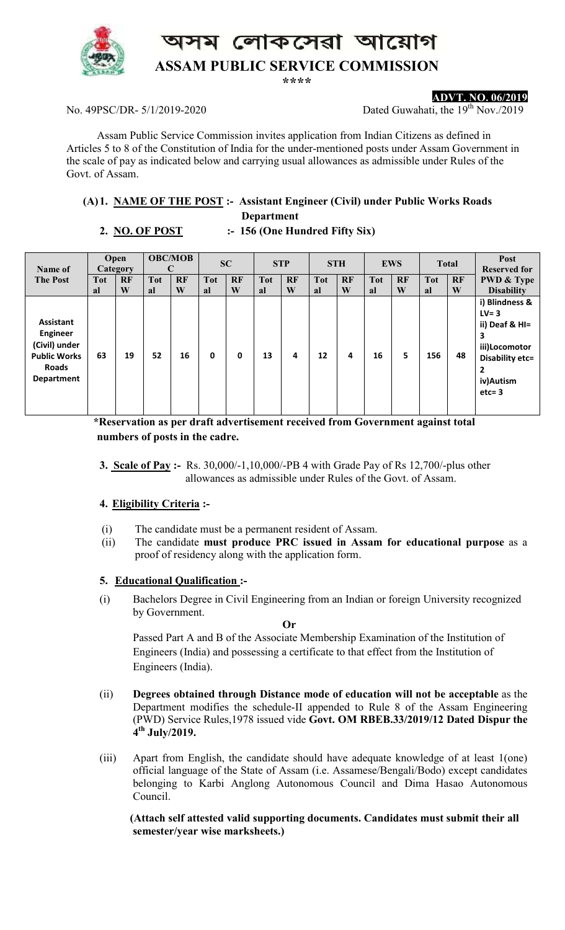লোকসেৱা আয়োগ



# **ASSAM PUBLIC SERVICE COMMISSION**

**\*\*\*\*** 

#### No. 49PSC/DR- 5/1/2019-2020 Dated Guwahati, the 19<sup>th</sup> Nov./2019

**ADVT. NO. 06/2019**

Assam Public Service Commission invites application from Indian Citizens as defined in Articles 5 to 8 of the Constitution of India for the under-mentioned posts under Assam Government in the scale of pay as indicated below and carrying usual allowances as admissible under Rules of the Govt. of Assam.

### **(A)1. NAME OF THE POST :- Assistant Engineer (Civil) under Public Works Roads**

 **Department** 

## **2. NO. OF POST :- 156 (One Hundred Fifty Six)**

| Name of<br><b>The Post</b>                                                                                | Open<br>Category |         | <b>OBC/MOB</b>   |         | <b>SC</b>        |                | <b>STP</b>       |                | <b>STH</b>       |                | <b>EWS</b>       |                | <b>Total</b>     |         | Post<br><b>Reserved for</b>                                                                                                     |
|-----------------------------------------------------------------------------------------------------------|------------------|---------|------------------|---------|------------------|----------------|------------------|----------------|------------------|----------------|------------------|----------------|------------------|---------|---------------------------------------------------------------------------------------------------------------------------------|
|                                                                                                           | <b>Tot</b><br>al | RF<br>W | <b>Tot</b><br>al | RF<br>W | <b>Tot</b><br>al | <b>RF</b><br>W | <b>Tot</b><br>al | <b>RF</b><br>W | <b>Tot</b><br>al | <b>RF</b><br>W | <b>Tot</b><br>al | <b>RF</b><br>W | <b>Tot</b><br>al | RF<br>W | <b>PWD &amp; Type</b><br><b>Disability</b>                                                                                      |
| <b>Assistant</b><br><b>Engineer</b><br>(Civil) under<br><b>Public Works</b><br><b>Roads</b><br>Department | 63               | 19      | 52               | 16      | 0                | 0              | 13               | 4              | 12               | 4              | 16               | 5              | 156              | 48      | i) Blindness &<br>$LV = 3$<br>ii) Deaf & HI=<br>3<br>iii)Locomotor<br>Disability etc=<br>$\overline{2}$<br>iv)Autism<br>$etc=3$ |

 **\*Reservation as per draft advertisement received from Government against total numbers of posts in the cadre.** 

**3. Scale of Pay :-** Rs. 30,000/-1,10,000/-PB 4 with Grade Pay of Rs 12,700/-plus other allowances as admissible under Rules of the Govt. of Assam.

### **4. Eligibility Criteria :-**

- (i) The candidate must be a permanent resident of Assam.
- (ii) The candidate **must produce PRC issued in Assam for educational purpose** as a proof of residency along with the application form.

### **5. Educational Qualification :-**

(i) Bachelors Degree in Civil Engineering from an Indian or foreign University recognized by Government.

 **Or**  Passed Part A and B of the Associate Membership Examination of the Institution of Engineers (India) and possessing a certificate to that effect from the Institution of Engineers (India).

- (ii) **Degrees obtained through Distance mode of education will not be acceptable** as the Department modifies the schedule-II appended to Rule 8 of the Assam Engineering (PWD) Service Rules,1978 issued vide **Govt. OM RBEB.33/2019/12 Dated Dispur the 4 th July/2019.**
- (iii) Apart from English, the candidate should have adequate knowledge of at least 1(one) official language of the State of Assam (i.e. Assamese/Bengali/Bodo) except candidates belonging to Karbi Anglong Autonomous Council and Dima Hasao Autonomous Council.

 **(Attach self attested valid supporting documents. Candidates must submit their all semester/year wise marksheets.)**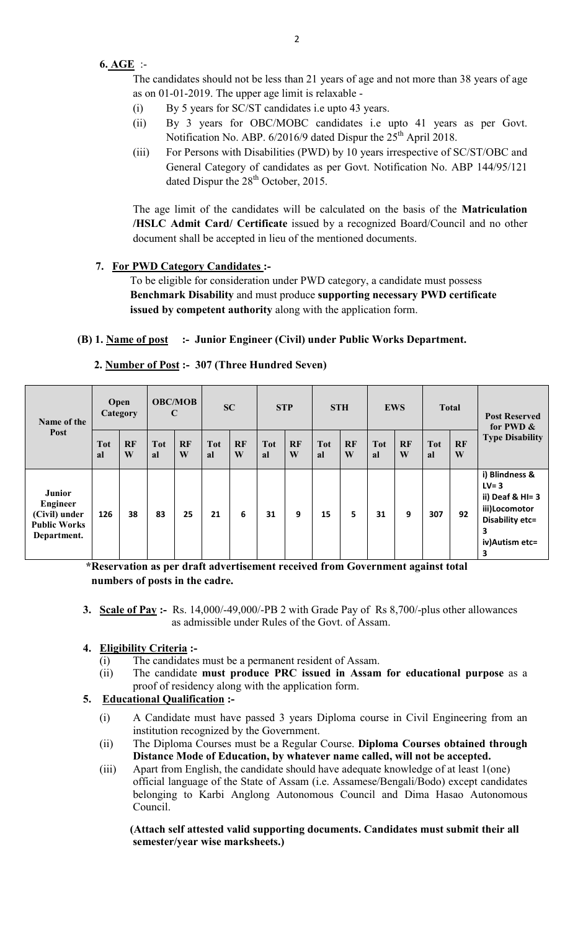### **6. AGE** :-

The candidates should not be less than 21 years of age and not more than 38 years of age as on 01-01-2019. The upper age limit is relaxable -

- (i) By 5 years for SC/ST candidates i.e upto 43 years.
- (ii) By 3 years for OBC/MOBC candidates i.e upto 41 years as per Govt. Notification No. ABP. 6/2016/9 dated Dispur the 25<sup>th</sup> April 2018.
- (iii) For Persons with Disabilities (PWD) by 10 years irrespective of SC/ST/OBC and General Category of candidates as per Govt. Notification No. ABP 144/95/121 dated Dispur the  $28<sup>th</sup>$  October, 2015.

The age limit of the candidates will be calculated on the basis of the **Matriculation /HSLC Admit Card/ Certificate** issued by a recognized Board/Council and no other document shall be accepted in lieu of the mentioned documents.

### **7. For PWD Category Candidates :-**

 To be eligible for consideration under PWD category, a candidate must possess **Benchmark Disability** and must produce **supporting necessary PWD certificate issued by competent authority** along with the application form.

### **(B) 1. Name of post :- Junior Engineer (Civil) under Public Works Department.**

| Name of the<br>Post                                                                     | Open<br>Category |                | <b>OBC/MOB</b><br>$\mathbf C$ |                | SC               |                | <b>STP</b>       |         | <b>STH</b>       |                | <b>EWS</b>       |         | <b>Total</b>     |         | <b>Post Reserved</b><br>for PWD &                                                                                  |
|-----------------------------------------------------------------------------------------|------------------|----------------|-------------------------------|----------------|------------------|----------------|------------------|---------|------------------|----------------|------------------|---------|------------------|---------|--------------------------------------------------------------------------------------------------------------------|
|                                                                                         | Tot<br>al        | <b>RF</b><br>W | <b>Tot</b><br>al              | <b>RF</b><br>W | <b>Tot</b><br>al | <b>RF</b><br>W | <b>Tot</b><br>al | RF<br>W | <b>Tot</b><br>al | <b>RF</b><br>W | <b>Tot</b><br>al | RF<br>W | <b>Tot</b><br>al | RF<br>W | <b>Type Disability</b>                                                                                             |
| <b>Junior</b><br><b>Engineer</b><br>(Civil) under<br><b>Public Works</b><br>Department. | 126              | 38             | 83                            | 25             | 21               | 6              | 31               | 9       | 15               | 5.             | 31               | 9       | 307              | 92      | i) Blindness &<br>$LV = 3$<br>ii) Deaf & $HI = 3$<br>iii)Locomotor<br>Disability etc=<br>3<br>iv) Autism etc=<br>3 |

#### **2. Number of Post :- 307 (Three Hundred Seven)**

 **\*Reservation as per draft advertisement received from Government against total numbers of posts in the cadre.** 

- **3. Scale of Pay :-** Rs. 14,000/-49,000/-PB 2 with Grade Pay of Rs 8,700/-plus other allowances as admissible under Rules of the Govt. of Assam.
- **4. Eligibility Criteria :-** 
	- (i) The candidates must be a permanent resident of Assam.
	- (ii) The candidate **must produce PRC issued in Assam for educational purpose** as a proof of residency along with the application form.

## **5. Educational Qualification :-**

- (i) A Candidate must have passed 3 years Diploma course in Civil Engineering from an institution recognized by the Government.
- (ii) The Diploma Courses must be a Regular Course. **Diploma Courses obtained through Distance Mode of Education, by whatever name called, will not be accepted.**
- (iii) Apart from English, the candidate should have adequate knowledge of at least 1(one) official language of the State of Assam (i.e. Assamese/Bengali/Bodo) except candidates belonging to Karbi Anglong Autonomous Council and Dima Hasao Autonomous Council.

 **(Attach self attested valid supporting documents. Candidates must submit their all semester/year wise marksheets.)**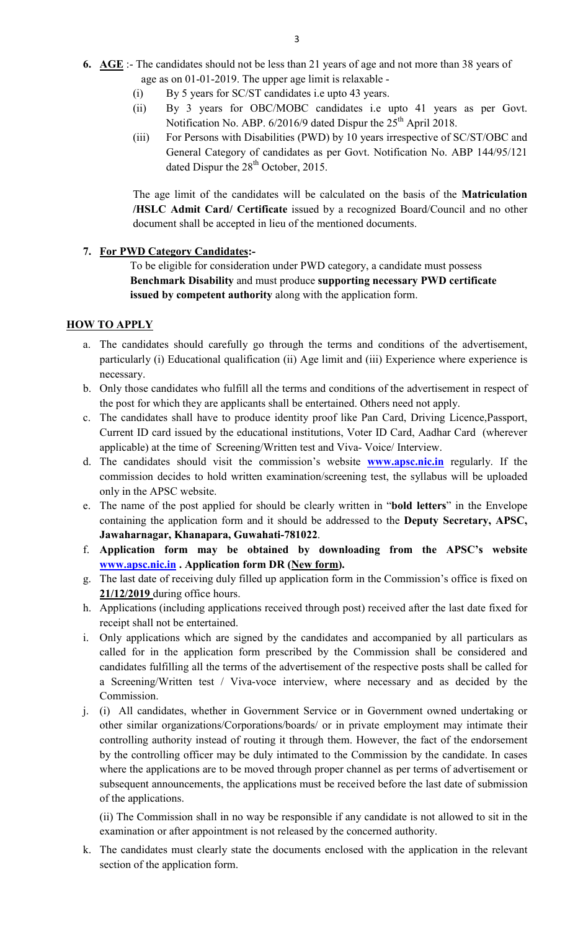- **6. AGE** :- The candidates should not be less than 21 years of age and not more than 38 years of age as on 01-01-2019. The upper age limit is relaxable -
	- (i) By 5 years for SC/ST candidates i.e upto 43 years.
	- (ii) By 3 years for OBC/MOBC candidates i.e upto 41 years as per Govt. Notification No. ABP. 6/2016/9 dated Dispur the 25<sup>th</sup> April 2018.
	- (iii) For Persons with Disabilities (PWD) by 10 years irrespective of SC/ST/OBC and General Category of candidates as per Govt. Notification No. ABP 144/95/121 dated Dispur the 28<sup>th</sup> October, 2015.

The age limit of the candidates will be calculated on the basis of the **Matriculation /HSLC Admit Card/ Certificate** issued by a recognized Board/Council and no other document shall be accepted in lieu of the mentioned documents.

#### **7. For PWD Category Candidates:-**

 To be eligible for consideration under PWD category, a candidate must possess **Benchmark Disability** and must produce **supporting necessary PWD certificate issued by competent authority** along with the application form.

#### **HOW TO APPLY**

- a. The candidates should carefully go through the terms and conditions of the advertisement, particularly (i) Educational qualification (ii) Age limit and (iii) Experience where experience is necessary.
- b. Only those candidates who fulfill all the terms and conditions of the advertisement in respect of the post for which they are applicants shall be entertained. Others need not apply.
- c. The candidates shall have to produce identity proof like Pan Card, Driving Licence,Passport, Current ID card issued by the educational institutions, Voter ID Card, Aadhar Card (wherever applicable) at the time of Screening/Written test and Viva- Voice/ Interview.
- d. The candidates should visit the commission's website **www.apsc.nic.in** regularly. If the commission decides to hold written examination/screening test, the syllabus will be uploaded only in the APSC website.
- e. The name of the post applied for should be clearly written in "**bold letters**" in the Envelope containing the application form and it should be addressed to the **Deputy Secretary, APSC, Jawaharnagar, Khanapara, Guwahati-781022**.
- f. **Application form may be obtained by downloading from the APSC's website www.apsc.nic.in . Application form DR (New form).**
- g. The last date of receiving duly filled up application form in the Commission's office is fixed on **21/12/2019** during office hours.
- h. Applications (including applications received through post) received after the last date fixed for receipt shall not be entertained.
- i. Only applications which are signed by the candidates and accompanied by all particulars as called for in the application form prescribed by the Commission shall be considered and candidates fulfilling all the terms of the advertisement of the respective posts shall be called for a Screening/Written test / Viva-voce interview, where necessary and as decided by the Commission.
- j. (i) All candidates, whether in Government Service or in Government owned undertaking or other similar organizations/Corporations/boards/ or in private employment may intimate their controlling authority instead of routing it through them. However, the fact of the endorsement by the controlling officer may be duly intimated to the Commission by the candidate. In cases where the applications are to be moved through proper channel as per terms of advertisement or subsequent announcements, the applications must be received before the last date of submission of the applications.

(ii) The Commission shall in no way be responsible if any candidate is not allowed to sit in the examination or after appointment is not released by the concerned authority.

k. The candidates must clearly state the documents enclosed with the application in the relevant section of the application form.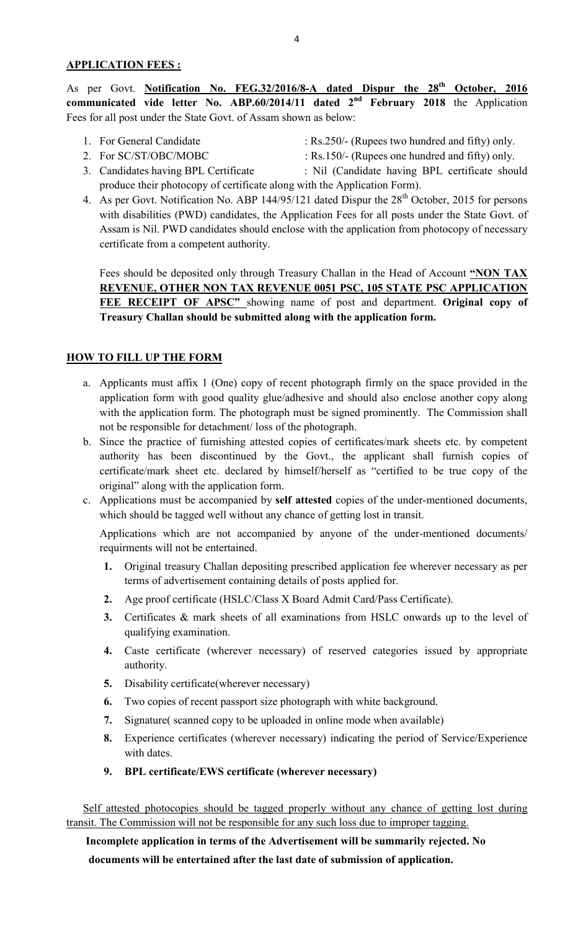As per Govt. **Notification No. FEG.32/2016/8-A dated Dispur the 28<sup>th</sup> October, 2016 communicated vide letter No. ABP.60/2014/11 dated 2nd February 2018** the Application Fees for all post under the State Govt. of Assam shown as below:

- 
- 1. For General Candidate : Rs.250/- (Rupees two hundred and fifty) only.
	-
- 2. For SC/ST/OBC/MOBC : Rs.150/- (Rupees one hundred and fifty) only.<br>
3. Candidates having BPL Certificate : Nil (Candidate having BPL certificate shou : Nil (Candidate having BPL certificate should produce their photocopy of certificate along with the Application Form).
- 4. As per Govt. Notification No. ABP 144/95/121 dated Dispur the 28<sup>th</sup> October, 2015 for persons with disabilities (PWD) candidates, the Application Fees for all posts under the State Govt. of Assam is Nil. PWD candidates should enclose with the application from photocopy of necessary certificate from a competent authority.

Fees should be deposited only through Treasury Challan in the Head of Account **"NON TAX REVENUE, OTHER NON TAX REVENUE 0051 PSC, 105 STATE PSC APPLICATION FEE RECEIPT OF APSC"** showing name of post and department. **Original copy of Treasury Challan should be submitted along with the application form.** 

## **HOW TO FILL UP THE FORM**

- a. Applicants must affix 1 (One) copy of recent photograph firmly on the space provided in the application form with good quality glue/adhesive and should also enclose another copy along with the application form. The photograph must be signed prominently. The Commission shall not be responsible for detachment/ loss of the photograph.
- b. Since the practice of furnishing attested copies of certificates/mark sheets etc. by competent authority has been discontinued by the Govt., the applicant shall furnish copies of certificate/mark sheet etc. declared by himself/herself as "certified to be true copy of the original" along with the application form.
- c. Applications must be accompanied by **self attested** copies of the under-mentioned documents, which should be tagged well without any chance of getting lost in transit.

Applications which are not accompanied by anyone of the under-mentioned documents/ requirments will not be entertained.

- **1.** Original treasury Challan depositing prescribed application fee wherever necessary as per terms of advertisement containing details of posts applied for.
- **2.** Age proof certificate (HSLC/Class X Board Admit Card/Pass Certificate).
- **3.** Certificates & mark sheets of all examinations from HSLC onwards up to the level of qualifying examination.
- **4.** Caste certificate (wherever necessary) of reserved categories issued by appropriate authority.
- **5.** Disability certificate(wherever necessary)
- **6.** Two copies of recent passport size photograph with white background.
- **7.** Signature( scanned copy to be uploaded in online mode when available)
- **8.** Experience certificates (wherever necessary) indicating the period of Service/Experience with dates.
- **9. BPL certificate/EWS certificate (wherever necessary)**

Self attested photocopies should be tagged properly without any chance of getting lost during transit. The Commission will not be responsible for any such loss due to improper tagging.

 **Incomplete application in terms of the Advertisement will be summarily rejected. No documents will be entertained after the last date of submission of application.**